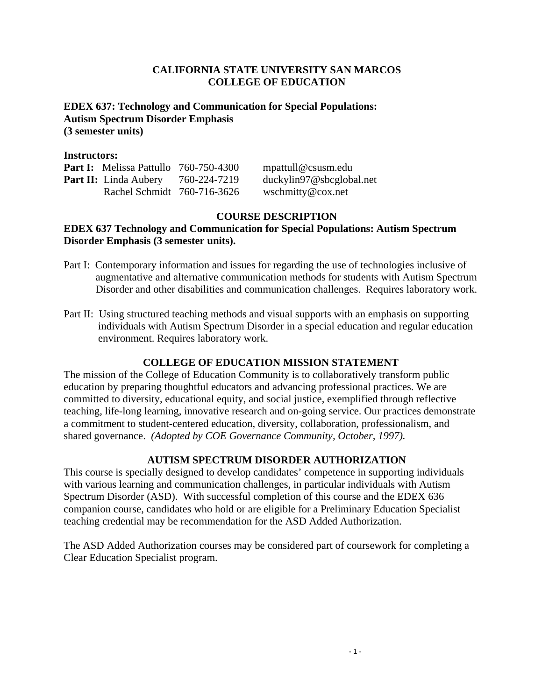### **CALIFORNIA STATE UNIVERSITY SAN MARCOS COLLEGE OF EDUCATION**

#### **EDEX 637: Technology and Communication for Special Populations: Autism Spectrum Disorder Emphasis (3 semester units)**

#### **Instructors:**

| <b>Part I:</b> Melissa Pattullo 760-750-4300 |              | $m$ mpattull @ csusm.edu |
|----------------------------------------------|--------------|--------------------------|
| <b>Part II:</b> Linda Aubery                 | 760-224-7219 | duckylin97@sbcglobal.net |
| Rachel Schmidt 760-716-3626                  |              | wschmitty@cox.net        |

## **COURSE DESCRIPTION**

### **Disorder Emphasis (3 semester units). EDEX 637 Technology and Communication for Special Populations: Autism Spectrum**

- augmentative and alternative communication methods for students with Autism Spectrum Part I: Contemporary information and issues for regarding the use of technologies inclusive of Disorder and other disabilities and communication challenges. Requires laboratory work.
- Part II: Using structured teaching methods and visual supports with an emphasis on supporting individuals with Autism Spectrum Disorder in a special education and regular education environment. Requires laboratory work.

## **COLLEGE OF EDUCATION MISSION STATEMENT**

The mission of the College of Education Community is to collaboratively transform public education by preparing thoughtful educators and advancing professional practices. We are committed to diversity, educational equity, and social justice, exemplified through reflective teaching, life-long learning, innovative research and on-going service. Our practices demonstrate a commitment to student-centered education, diversity, collaboration, professionalism, and shared governance. *(Adopted by COE Governance Community, October, 1997).* 

## **AUTISM SPECTRUM DISORDER AUTHORIZATION**

This course is specially designed to develop candidates' competence in supporting individuals with various learning and communication challenges, in particular individuals with Autism Spectrum Disorder (ASD). With successful completion of this course and the EDEX 636 companion course, candidates who hold or are eligible for a Preliminary Education Specialist teaching credential may be recommendation for the ASD Added Authorization.

The ASD Added Authorization courses may be considered part of coursework for completing a Clear Education Specialist program.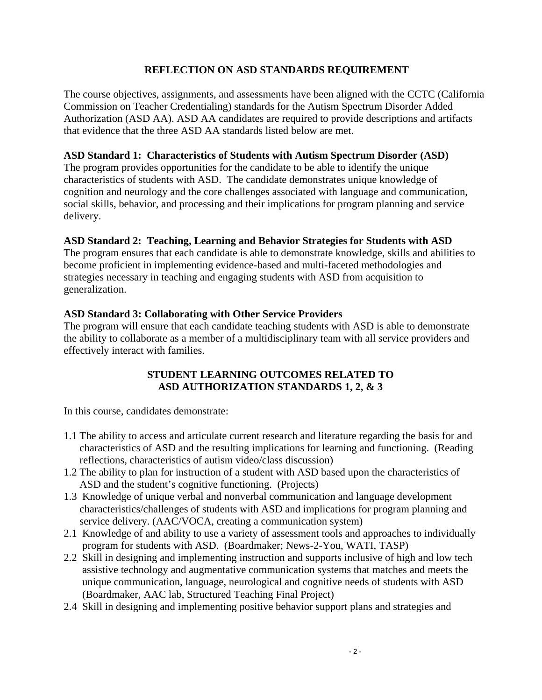## **REFLECTION ON ASD STANDARDS REQUIREMENT**

The course objectives, assignments, and assessments have been aligned with the CCTC (California Commission on Teacher Credentialing) standards for the Autism Spectrum Disorder Added Authorization (ASD AA). ASD AA candidates are required to provide descriptions and artifacts that evidence that the three ASD AA standards listed below are met.

### **ASD Standard 1: Characteristics of Students with Autism Spectrum Disorder (ASD)**

The program provides opportunities for the candidate to be able to identify the unique characteristics of students with ASD. The candidate demonstrates unique knowledge of cognition and neurology and the core challenges associated with language and communication, social skills, behavior, and processing and their implications for program planning and service delivery.

### **ASD Standard 2: Teaching, Learning and Behavior Strategies for Students with ASD**

The program ensures that each candidate is able to demonstrate knowledge, skills and abilities to become proficient in implementing evidence-based and multi-faceted methodologies and strategies necessary in teaching and engaging students with ASD from acquisition to generalization.

### **ASD Standard 3: Collaborating with Other Service Providers**

The program will ensure that each candidate teaching students with ASD is able to demonstrate the ability to collaborate as a member of a multidisciplinary team with all service providers and effectively interact with families.

## **STUDENT LEARNING OUTCOMES RELATED TO ASD AUTHORIZATION STANDARDS 1, 2, & 3**

In this course, candidates demonstrate:

- 1.1 The ability to access and articulate current research and literature regarding the basis for and characteristics of ASD and the resulting implications for learning and functioning. (Reading reflections, characteristics of autism video/class discussion)
- 1.2 The ability to plan for instruction of a student with ASD based upon the characteristics of ASD and the student's cognitive functioning. (Projects)
- 1.3 Knowledge of unique verbal and nonverbal communication and language development characteristics/challenges of students with ASD and implications for program planning and service delivery. (AAC/VOCA, creating a communication system)
- 2.1 Knowledge of and ability to use a variety of assessment tools and approaches to individually program for students with ASD. (Boardmaker; News-2-You, WATI, TASP)
- 2.2 Skill in designing and implementing instruction and supports inclusive of high and low tech assistive technology and augmentative communication systems that matches and meets the unique communication, language, neurological and cognitive needs of students with ASD (Boardmaker, AAC lab, Structured Teaching Final Project)
- 2.4 Skill in designing and implementing positive behavior support plans and strategies and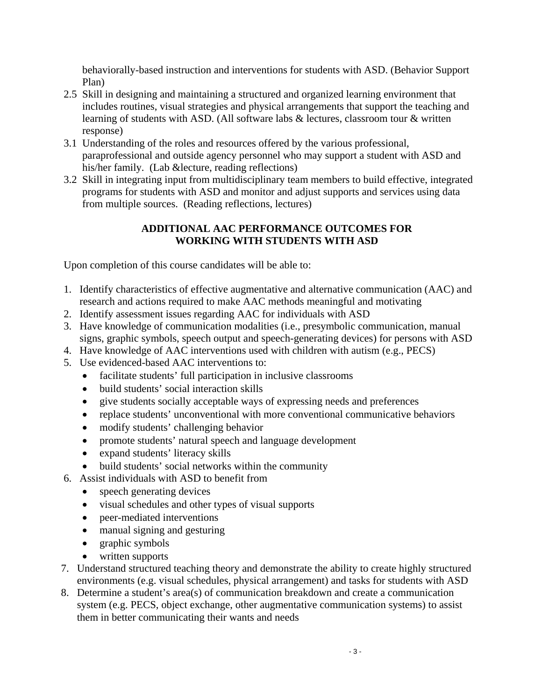behaviorally-based instruction and interventions for students with ASD. (Behavior Support Plan)

- 2.5 Skill in designing and maintaining a structured and organized learning environment that includes routines, visual strategies and physical arrangements that support the teaching and learning of students with ASD. (All software labs & lectures, classroom tour & written response)
- 3.1 Understanding of the roles and resources offered by the various professional, paraprofessional and outside agency personnel who may support a student with ASD and his/her family. (Lab &lecture, reading reflections)
- 3.2 Skill in integrating input from multidisciplinary team members to build effective, integrated programs for students with ASD and monitor and adjust supports and services using data from multiple sources. (Reading reflections, lectures)

# **ADDITIONAL AAC PERFORMANCE OUTCOMES FOR WORKING WITH STUDENTS WITH ASD**

Upon completion of this course candidates will be able to:

- 1. Identify characteristics of effective augmentative and alternative communication (AAC) and research and actions required to make AAC methods meaningful and motivating
- 2. Identify assessment issues regarding AAC for individuals with ASD
- 3. Have knowledge of communication modalities (i.e., presymbolic communication, manual signs, graphic symbols, speech output and speech-generating devices) for persons with ASD
- 4. Have knowledge of AAC interventions used with children with autism (e.g., PECS)
- 5. Use evidenced-based AAC interventions to:
	- facilitate students' full participation in inclusive classrooms
	- build students' social interaction skills
	- give students socially acceptable ways of expressing needs and preferences
	- replace students' unconventional with more conventional communicative behaviors
	- modify students' challenging behavior
	- promote students' natural speech and language development
	- expand students' literacy skills
	- build students' social networks within the community
- 6. Assist individuals with ASD to benefit from
	- speech generating devices
	- visual schedules and other types of visual supports
	- peer-mediated interventions
	- manual signing and gesturing
	- graphic symbols
	- written supports
- 7. Understand structured teaching theory and demonstrate the ability to create highly structured environments (e.g. visual schedules, physical arrangement) and tasks for students with ASD
- 8. Determine a student's area(s) of communication breakdown and create a communication system (e.g. PECS, object exchange, other augmentative communication systems) to assist them in better communicating their wants and needs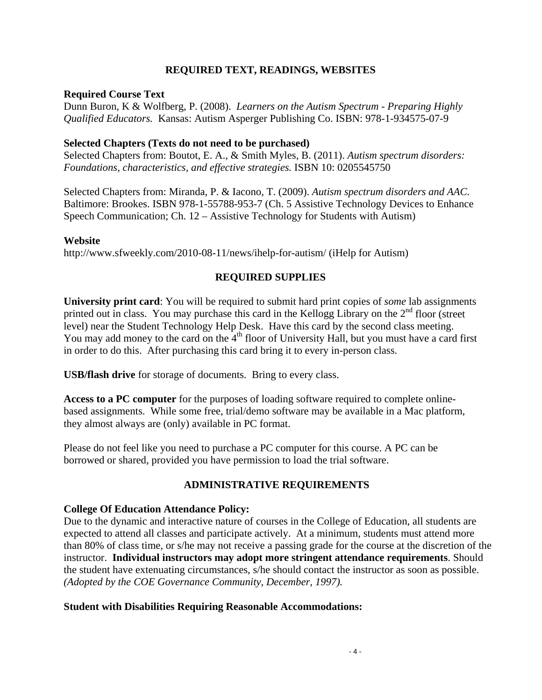### **REQUIRED TEXT, READINGS, WEBSITES**

#### **Required Course Text**

Dunn Buron, K & Wolfberg, P. (2008). *Learners on the Autism Spectrum - Preparing Highly Qualified Educators.* Kansas: Autism Asperger Publishing Co. ISBN: 978-1-934575-07-9

#### **Selected Chapters (Texts do not need to be purchased)**

Selected Chapters from: Boutot, E. A., & Smith Myles, B. (2011). *Autism spectrum disorders: Foundations, characteristics, and effective strategies.* ISBN 10: 0205545750

Selected Chapters from: Miranda, P. & Iacono, T. (2009). *Autism spectrum disorders and AAC.*  Baltimore: Brookes. ISBN 978-1-55788-953-7 (Ch. 5 Assistive Technology Devices to Enhance Speech Communication; Ch. 12 – Assistive Technology for Students with Autism)

#### **Website**

http://www.sfweekly.com/2010-08-11/news/ihelp-for-autism/ (iHelp for Autism)

### **REQUIRED SUPPLIES**

**University print card**: You will be required to submit hard print copies of *some* lab assignments printed out in class. You may purchase this card in the Kellogg Library on the  $2<sup>nd</sup>$  floor (street level) near the Student Technology Help Desk. Have this card by the second class meeting. You may add money to the card on the  $4<sup>th</sup>$  floor of University Hall, but you must have a card first in order to do this. After purchasing this card bring it to every in-person class.

**USB/flash drive** for storage of documents. Bring to every class.

**Access to a PC computer** for the purposes of loading software required to complete onlinebased assignments. While some free, trial/demo software may be available in a Mac platform, they almost always are (only) available in PC format.

Please do not feel like you need to purchase a PC computer for this course. A PC can be borrowed or shared, provided you have permission to load the trial software.

#### **ADMINISTRATIVE REQUIREMENTS**

#### **College Of Education Attendance Policy:**

 *(Adopted by the COE Governance Community, December, 1997).* Due to the dynamic and interactive nature of courses in the College of Education, all students are expected to attend all classes and participate actively. At a minimum, students must attend more than 80% of class time, or s/he may not receive a passing grade for the course at the discretion of the instructor. **Individual instructors may adopt more stringent attendance requirements**. Should the student have extenuating circumstances, s/he should contact the instructor as soon as possible.

#### **Student with Disabilities Requiring Reasonable Accommodations:**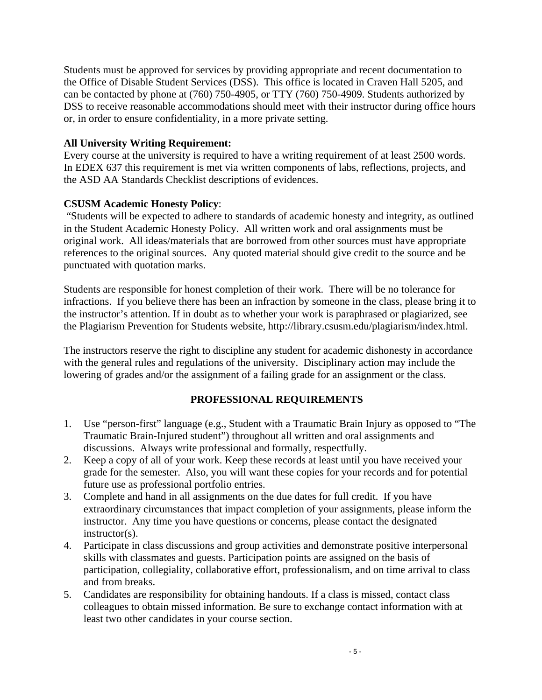Students must be approved for services by providing appropriate and recent documentation to the Office of Disable Student Services (DSS). This office is located in Craven Hall 5205, and can be contacted by phone at (760) 750-4905, or TTY (760) 750-4909. Students authorized by DSS to receive reasonable accommodations should meet with their instructor during office hours or, in order to ensure confidentiality, in a more private setting.

### **All University Writing Requirement:**

Every course at the university is required to have a writing requirement of at least 2500 words. In EDEX 637 this requirement is met via written components of labs, reflections, projects, and the ASD AA Standards Checklist descriptions of evidences.

### **CSUSM Academic Honesty Policy**:

 "Students will be expected to adhere to standards of academic honesty and integrity, as outlined in the Student Academic Honesty Policy. All written work and oral assignments must be original work. All ideas/materials that are borrowed from other sources must have appropriate references to the original sources. Any quoted material should give credit to the source and be punctuated with quotation marks.

Students are responsible for honest completion of their work. There will be no tolerance for infractions. If you believe there has been an infraction by someone in the class, please bring it to the instructor's attention. If in doubt as to whether your work is paraphrased or plagiarized, see the Plagiarism Prevention for Students website, http://library.csusm.edu/plagiarism/index.html.

The instructors reserve the right to discipline any student for academic dishonesty in accordance with the general rules and regulations of the university. Disciplinary action may include the lowering of grades and/or the assignment of a failing grade for an assignment or the class.

#### **PROFESSIONAL REQUIREMENTS**

- 1. Use "person-first" language (e.g., Student with a Traumatic Brain Injury as opposed to "The Traumatic Brain-Injured student") throughout all written and oral assignments and discussions. Always write professional and formally, respectfully.
- 2. Keep a copy of all of your work. Keep these records at least until you have received your grade for the semester. Also, you will want these copies for your records and for potential future use as professional portfolio entries.
- 3. Complete and hand in all assignments on the due dates for full credit. If you have extraordinary circumstances that impact completion of your assignments, please inform the instructor. Any time you have questions or concerns, please contact the designated instructor(s).
- 4. Participate in class discussions and group activities and demonstrate positive interpersonal skills with classmates and guests. Participation points are assigned on the basis of participation, collegiality, collaborative effort, professionalism, and on time arrival to class and from breaks.
- 5. Candidates are responsibility for obtaining handouts. If a class is missed, contact class colleagues to obtain missed information. Be sure to exchange contact information with at least two other candidates in your course section.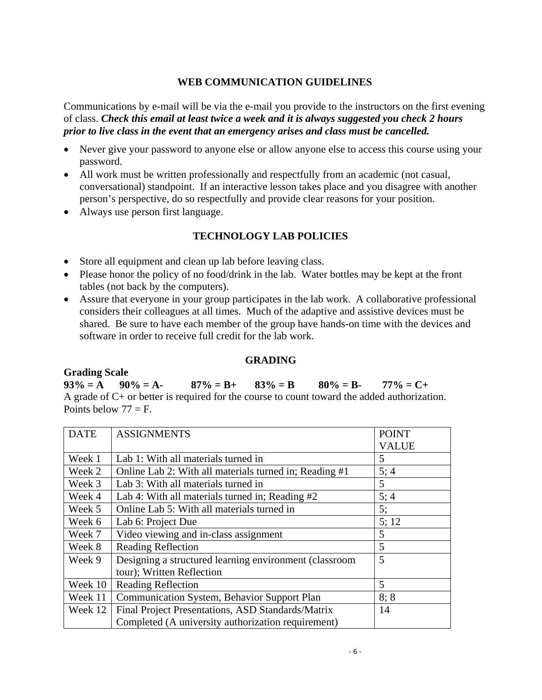## **WEB COMMUNICATION GUIDELINES**

 *prior to live class in the event that an emergency arises and class must be cancelled.* Communications by e-mail will be via the e-mail you provide to the instructors on the first evening of class. *Check this email at least twice a week and it is always suggested you check 2 hours* 

- Never give your password to anyone else or allow anyone else to access this course using your password.
- All work must be written professionally and respectfully from an academic (not casual, conversational) standpoint. If an interactive lesson takes place and you disagree with another person's perspective, do so respectfully and provide clear reasons for your position.
- Always use person first language.

## **TECHNOLOGY LAB POLICIES**

- Store all equipment and clean up lab before leaving class.
- Please honor the policy of no food/drink in the lab. Water bottles may be kept at the front tables (not back by the computers).
- Assure that everyone in your group participates in the lab work. A collaborative professional considers their colleagues at all times. Much of the adaptive and assistive devices must be shared. Be sure to have each member of the group have hands-on time with the devices and software in order to receive full credit for the lab work.

#### **GRADING**

#### **Grading Scale**

 $93\% = A$   $90\% = A$ -  $87\% = B$ +  $83\% = B$   $80\% = B$ -  $77\% = C+$ A grade of C+ or better is required for the course to count toward the added authorization. Points below  $77 = F$ .

| <b>DATE</b> | <b>ASSIGNMENTS</b>                                     | <b>POINT</b> |
|-------------|--------------------------------------------------------|--------------|
|             |                                                        | <b>VALUE</b> |
| Week 1      | Lab 1: With all materials turned in                    | 5            |
| Week 2      | Online Lab 2: With all materials turned in; Reading #1 | 5;4          |
| Week 3      | Lab 3: With all materials turned in                    | 5            |
| Week 4      | Lab 4: With all materials turned in; Reading #2        | 5; 4         |
| Week 5      | Online Lab 5: With all materials turned in             | 5;           |
| Week 6      | Lab 6: Project Due                                     | 5; 12        |
| Week 7      | Video viewing and in-class assignment                  | 5            |
| Week 8      | <b>Reading Reflection</b>                              | 5            |
| Week 9      | Designing a structured learning environment (classroom | 5            |
|             | tour); Written Reflection                              |              |
| Week 10     | <b>Reading Reflection</b>                              | 5            |
| Week 11     | Communication System, Behavior Support Plan            | 8:8          |
| Week 12     | Final Project Presentations, ASD Standards/Matrix      | 14           |
|             | Completed (A university authorization requirement)     |              |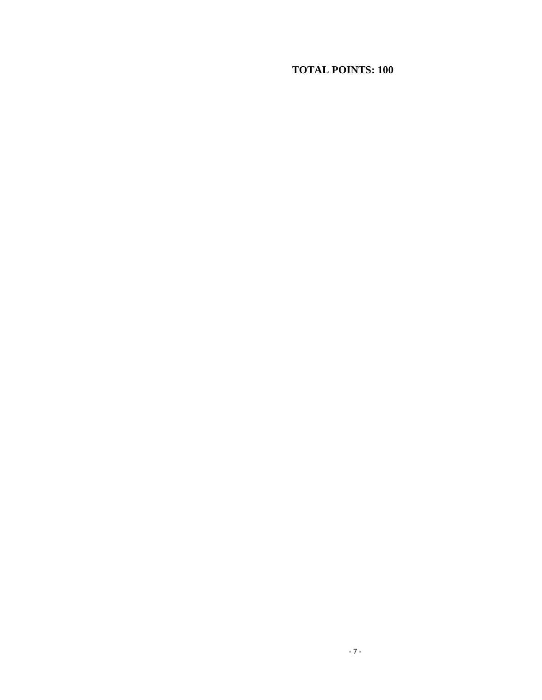# **TOTAL POINTS: 100**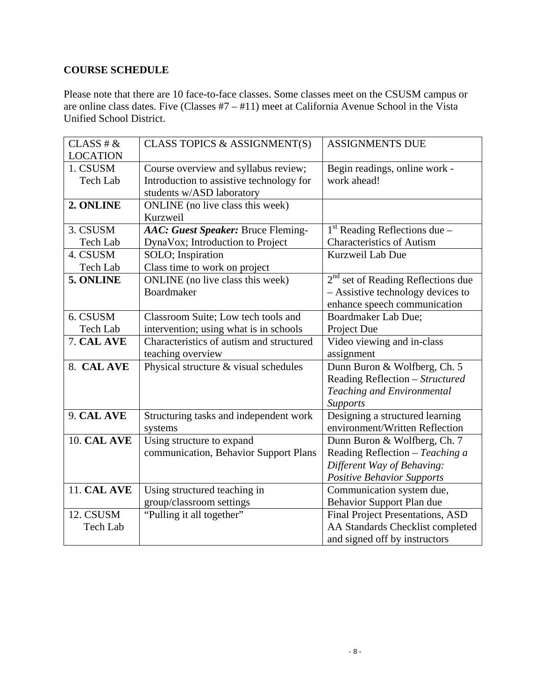# **COURSE SCHEDULE**

Please note that there are 10 face-to-face classes. Some classes meet on the CSUSM campus or are online class dates. Five (Classes #7 – #11) meet at California Avenue School in the Vista Unified School District.

| CLASS# &           | CLASS TOPICS & ASSIGNMENT(S)             | <b>ASSIGNMENTS DUE</b>                  |
|--------------------|------------------------------------------|-----------------------------------------|
| <b>LOCATION</b>    |                                          |                                         |
| 1. CSUSM           | Course overview and syllabus review;     | Begin readings, online work -           |
| <b>Tech Lab</b>    | Introduction to assistive technology for | work ahead!                             |
|                    | students w/ASD laboratory                |                                         |
| 2. ONLINE          | ONLINE (no live class this week)         |                                         |
|                    | Kurzweil                                 |                                         |
| 3. CSUSM           | AAC: Guest Speaker: Bruce Fleming-       | $1st$ Reading Reflections due –         |
| Tech Lab           | DynaVox; Introduction to Project         | <b>Characteristics of Autism</b>        |
| 4. CSUSM           | SOLO; Inspiration                        | Kurzweil Lab Due                        |
| Tech Lab           | Class time to work on project            |                                         |
| 5. ONLINE          | ONLINE (no live class this week)         | $2nd$ set of Reading Reflections due    |
|                    | <b>Boardmaker</b>                        | - Assistive technology devices to       |
|                    |                                          | enhance speech communication            |
| 6. CSUSM           | Classroom Suite; Low tech tools and      | Boardmaker Lab Due;                     |
| Tech Lab           | intervention; using what is in schools   | Project Due                             |
| 7. CAL AVE         | Characteristics of autism and structured | Video viewing and in-class              |
|                    | teaching overview                        | assignment                              |
| 8. CAL AVE         | Physical structure & visual schedules    | Dunn Buron & Wolfberg, Ch. 5            |
|                    |                                          | Reading Reflection - Structured         |
|                    |                                          | Teaching and Environmental              |
|                    |                                          | <b>Supports</b>                         |
| 9. CAL AVE         | Structuring tasks and independent work   | Designing a structured learning         |
|                    | systems                                  | environment/Written Reflection          |
| <b>10. CAL AVE</b> | Using structure to expand                | Dunn Buron & Wolfberg, Ch. 7            |
|                    | communication, Behavior Support Plans    | Reading Reflection $-Teaching$ a        |
|                    |                                          | Different Way of Behaving:              |
|                    |                                          | <b>Positive Behavior Supports</b>       |
| <b>11. CAL AVE</b> | Using structured teaching in             | Communication system due,               |
|                    | group/classroom settings                 | Behavior Support Plan due               |
| 12. CSUSM          | "Pulling it all together"                | <b>Final Project Presentations, ASD</b> |
| Tech Lab           |                                          | AA Standards Checklist completed        |
|                    |                                          | and signed off by instructors           |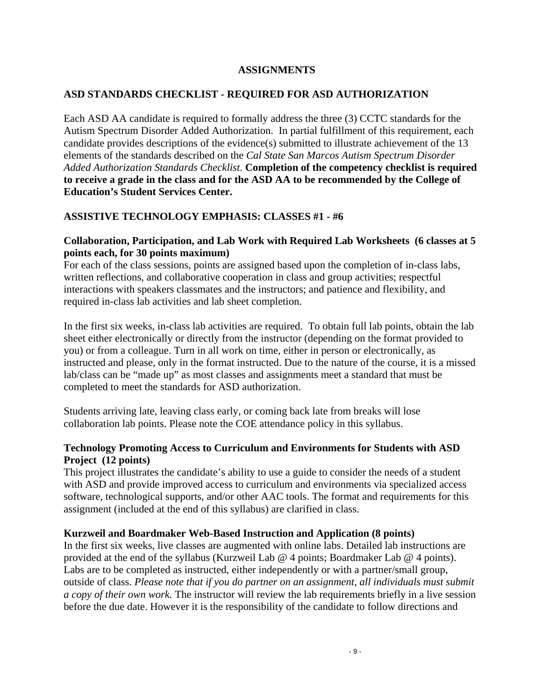#### **ASSIGNMENTS**

### **ASD STANDARDS CHECKLIST - REQUIRED FOR ASD AUTHORIZATION**

Each ASD AA candidate is required to formally address the three (3) CCTC standards for the Autism Spectrum Disorder Added Authorization. In partial fulfillment of this requirement, each candidate provides descriptions of the evidence(s) submitted to illustrate achievement of the 13 elements of the standards described on the *Cal State San Marcos Autism Spectrum Disorder Added Authorization Standards Checklist*. **Completion of the competency checklist is required to receive a grade in the class and for the ASD AA to be recommended by the College of Education's Student Services Center.** 

## **ASSISTIVE TECHNOLOGY EMPHASIS: CLASSES #1 - #6**

### **Collaboration, Participation, and Lab Work with Required Lab Worksheets (6 classes at 5 points each, for 30 points maximum)**

For each of the class sessions, points are assigned based upon the completion of in-class labs, written reflections, and collaborative cooperation in class and group activities; respectful interactions with speakers classmates and the instructors; and patience and flexibility, and required in-class lab activities and lab sheet completion.

In the first six weeks, in-class lab activities are required. To obtain full lab points, obtain the lab sheet either electronically or directly from the instructor (depending on the format provided to you) or from a colleague. Turn in all work on time, either in person or electronically, as instructed and please, only in the format instructed. Due to the nature of the course, it is a missed lab/class can be "made up" as most classes and assignments meet a standard that must be completed to meet the standards for ASD authorization.

Students arriving late, leaving class early, or coming back late from breaks will lose collaboration lab points. Please note the COE attendance policy in this syllabus.

### **Technology Promoting Access to Curriculum and Environments for Students with ASD Project (12 points)**

This project illustrates the candidate's ability to use a guide to consider the needs of a student with ASD and provide improved access to curriculum and environments via specialized access software, technological supports, and/or other AAC tools. The format and requirements for this assignment (included at the end of this syllabus) are clarified in class.

#### **Kurzweil and Boardmaker Web-Based Instruction and Application (8 points)**

In the first six weeks, live classes are augmented with online labs. Detailed lab instructions are provided at the end of the syllabus (Kurzweil Lab @ 4 points; Boardmaker Lab @ 4 points). Labs are to be completed as instructed, either independently or with a partner/small group, outside of class. *Please note that if you do partner on an assignment, all individuals must submit a copy of their own work.* The instructor will review the lab requirements briefly in a live session before the due date. However it is the responsibility of the candidate to follow directions and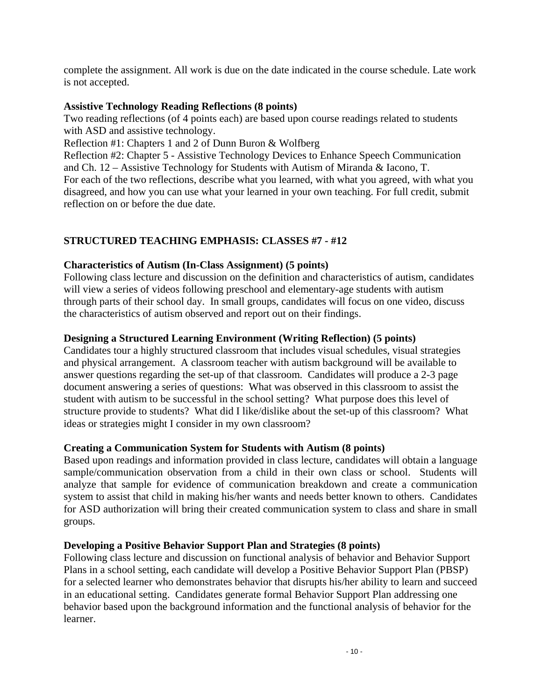complete the assignment. All work is due on the date indicated in the course schedule. Late work is not accepted.

## **Assistive Technology Reading Reflections (8 points)**

Two reading reflections (of 4 points each) are based upon course readings related to students with ASD and assistive technology.

Reflection #1: Chapters 1 and 2 of Dunn Buron & Wolfberg

Reflection #2: Chapter 5 - Assistive Technology Devices to Enhance Speech Communication and Ch. 12 – Assistive Technology for Students with Autism of Miranda & Iacono, T. For each of the two reflections, describe what you learned, with what you agreed, with what you disagreed, and how you can use what your learned in your own teaching. For full credit, submit reflection on or before the due date.

# **STRUCTURED TEACHING EMPHASIS: CLASSES #7 - #12**

# **Characteristics of Autism (In-Class Assignment) (5 points)**

Following class lecture and discussion on the definition and characteristics of autism, candidates will view a series of videos following preschool and elementary-age students with autism through parts of their school day. In small groups, candidates will focus on one video, discuss the characteristics of autism observed and report out on their findings.

# **Designing a Structured Learning Environment (Writing Reflection) (5 points)**

Candidates tour a highly structured classroom that includes visual schedules, visual strategies and physical arrangement. A classroom teacher with autism background will be available to answer questions regarding the set-up of that classroom. Candidates will produce a 2-3 page document answering a series of questions: What was observed in this classroom to assist the student with autism to be successful in the school setting? What purpose does this level of structure provide to students? What did I like/dislike about the set-up of this classroom? What ideas or strategies might I consider in my own classroom?

# **Creating a Communication System for Students with Autism (8 points)**

Based upon readings and information provided in class lecture, candidates will obtain a language sample/communication observation from a child in their own class or school. Students will analyze that sample for evidence of communication breakdown and create a communication system to assist that child in making his/her wants and needs better known to others. Candidates for ASD authorization will bring their created communication system to class and share in small groups.

## **Developing a Positive Behavior Support Plan and Strategies (8 points)**

Following class lecture and discussion on functional analysis of behavior and Behavior Support Plans in a school setting, each candidate will develop a Positive Behavior Support Plan (PBSP) for a selected learner who demonstrates behavior that disrupts his/her ability to learn and succeed in an educational setting. Candidates generate formal Behavior Support Plan addressing one behavior based upon the background information and the functional analysis of behavior for the learner.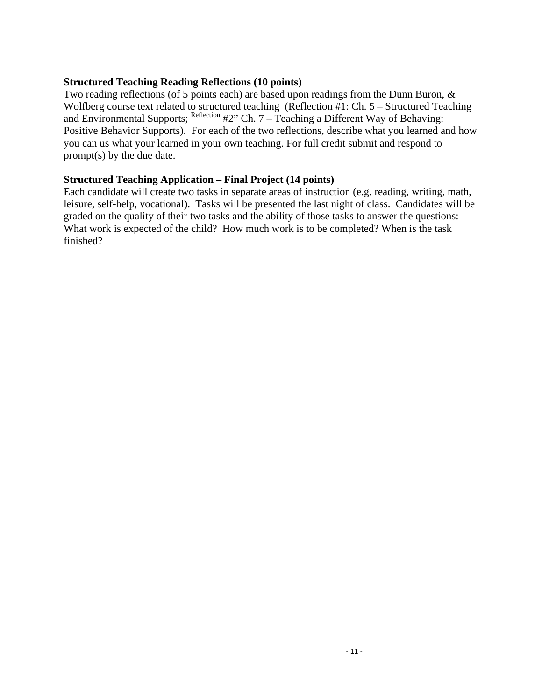### **Structured Teaching Reading Reflections (10 points)**

Two reading reflections (of 5 points each) are based upon readings from the Dunn Buron, & Wolfberg course text related to structured teaching (Reflection #1: Ch. 5 – Structured Teaching and Environmental Supports; Reflection #2" Ch. 7 – Teaching a Different Way of Behaving: Positive Behavior Supports). For each of the two reflections, describe what you learned and how you can us what your learned in your own teaching. For full credit submit and respond to prompt(s) by the due date.

## **Structured Teaching Application – Final Project (14 points)**

 finished? Each candidate will create two tasks in separate areas of instruction (e.g. reading, writing, math, leisure, self-help, vocational). Tasks will be presented the last night of class. Candidates will be graded on the quality of their two tasks and the ability of those tasks to answer the questions: What work is expected of the child? How much work is to be completed? When is the task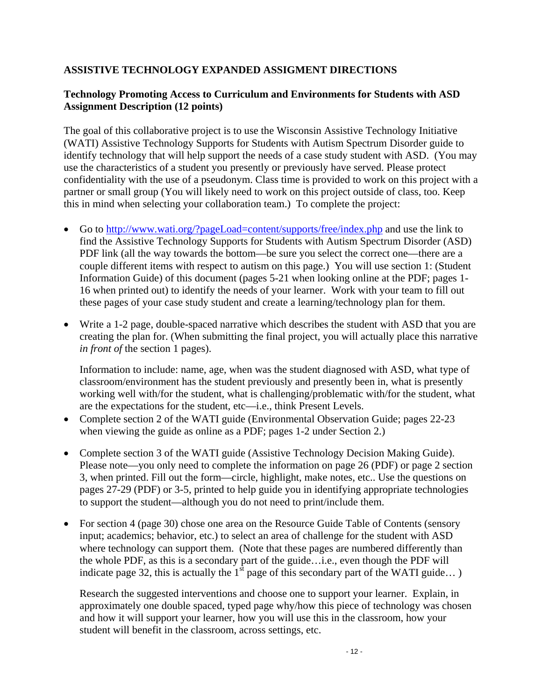## **ASSISTIVE TECHNOLOGY EXPANDED ASSIGMENT DIRECTIONS**

## **Technology Promoting Access to Curriculum and Environments for Students with ASD Assignment Description (12 points)**

The goal of this collaborative project is to use the Wisconsin Assistive Technology Initiative (WATI) Assistive Technology Supports for Students with Autism Spectrum Disorder guide to identify technology that will help support the needs of a case study student with ASD. (You may use the characteristics of a student you presently or previously have served. Please protect confidentiality with the use of a pseudonym. Class time is provided to work on this project with a partner or small group (You will likely need to work on this project outside of class, too. Keep this in mind when selecting your collaboration team.) To complete the project:

- Go to http://www.wati.org/?pageLoad=content/supports/free/index.php and use the link to find the Assistive Technology Supports for Students with Autism Spectrum Disorder (ASD) PDF link (all the way towards the bottom—be sure you select the correct one—there are a couple different items with respect to autism on this page.) You will use section 1: (Student Information Guide) of this document (pages 5-21 when looking online at the PDF; pages 1- 16 when printed out) to identify the needs of your learner. Work with your team to fill out these pages of your case study student and create a learning/technology plan for them.
- Write a 1-2 page, double-spaced narrative which describes the student with ASD that you are creating the plan for. (When submitting the final project, you will actually place this narrative *in front of* the section 1 pages).

Information to include: name, age, when was the student diagnosed with ASD, what type of classroom/environment has the student previously and presently been in, what is presently working well with/for the student, what is challenging/problematic with/for the student, what are the expectations for the student, etc—i.e., think Present Levels.

- Complete section 2 of the WATI guide (Environmental Observation Guide; pages 22-23) when viewing the guide as online as a PDF; pages 1-2 under Section 2.)
- Complete section 3 of the WATI guide (Assistive Technology Decision Making Guide). Please note—you only need to complete the information on page 26 (PDF) or page 2 section 3, when printed. Fill out the form—circle, highlight, make notes, etc.. Use the questions on pages 27-29 (PDF) or 3-5, printed to help guide you in identifying appropriate technologies to support the student—although you do not need to print/include them.
- For section 4 (page 30) chose one area on the Resource Guide Table of Contents (sensory input; academics; behavior, etc.) to select an area of challenge for the student with ASD where technology can support them. (Note that these pages are numbered differently than the whole PDF, as this is a secondary part of the guide…i.e., even though the PDF will indicate page 32, this is actually the  $1<sup>st</sup>$  page of this secondary part of the WATI guide...)

Research the suggested interventions and choose one to support your learner. Explain, in approximately one double spaced, typed page why/how this piece of technology was chosen and how it will support your learner, how you will use this in the classroom, how your student will benefit in the classroom, across settings, etc.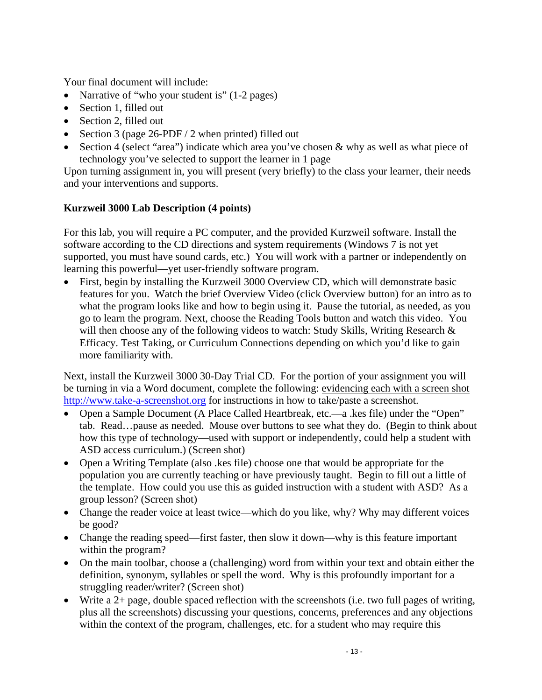Your final document will include:

- Narrative of "who your student is" (1-2 pages)
- Section 1, filled out
- Section 2, filled out
- Section 3 (page  $26$ -PDF / 2 when printed) filled out
- Section 4 (select "area") indicate which area you've chosen & why as well as what piece of technology you've selected to support the learner in 1 page

Upon turning assignment in, you will present (very briefly) to the class your learner, their needs and your interventions and supports.

## **Kurzweil 3000 Lab Description (4 points)**

For this lab, you will require a PC computer, and the provided Kurzweil software. Install the software according to the CD directions and system requirements (Windows 7 is not yet supported, you must have sound cards, etc.) You will work with a partner or independently on learning this powerful—yet user-friendly software program.

 First, begin by installing the Kurzweil 3000 Overview CD, which will demonstrate basic features for you. Watch the brief Overview Video (click Overview button) for an intro as to what the program looks like and how to begin using it. Pause the tutorial, as needed, as you go to learn the program. Next, choose the Reading Tools button and watch this video. You will then choose any of the following videos to watch: Study Skills, Writing Research & Efficacy. Test Taking, or Curriculum Connections depending on which you'd like to gain more familiarity with.

Next, install the Kurzweil 3000 30-Day Trial CD. For the portion of your assignment you will be turning in via a Word document, complete the following: evidencing each with a screen shot http://www.take-a-screenshot.org for instructions in how to take/paste a screenshot.

- Open a Sample Document (A Place Called Heartbreak, etc.—a .kes file) under the "Open" tab. Read…pause as needed. Mouse over buttons to see what they do. (Begin to think about how this type of technology—used with support or independently, could help a student with ASD access curriculum.) (Screen shot)
- Open a Writing Template (also .kes file) choose one that would be appropriate for the population you are currently teaching or have previously taught. Begin to fill out a little of the template. How could you use this as guided instruction with a student with ASD? As a group lesson? (Screen shot)
- Change the reader voice at least twice—which do you like, why? Why may different voices be good?
- Change the reading speed—first faster, then slow it down—why is this feature important within the program?
- On the main toolbar, choose a (challenging) word from within your text and obtain either the definition, synonym, syllables or spell the word. Why is this profoundly important for a struggling reader/writer? (Screen shot)
- Write a 2+ page, double spaced reflection with the screenshots (i.e. two full pages of writing, plus all the screenshots) discussing your questions, concerns, preferences and any objections within the context of the program, challenges, etc. for a student who may require this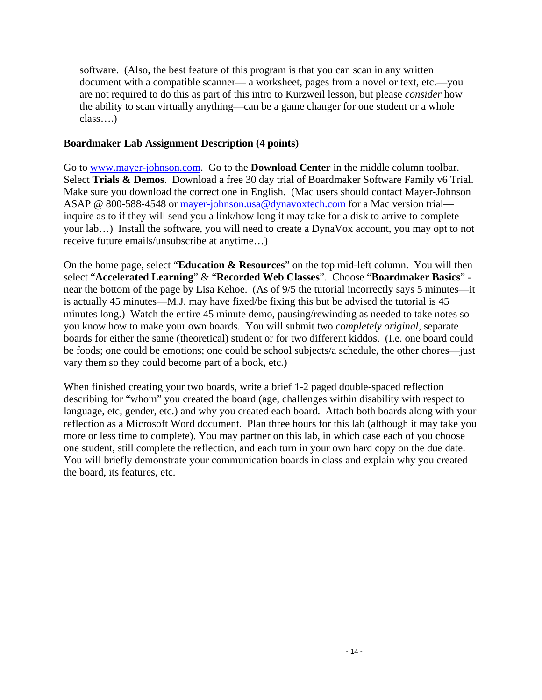software. (Also, the best feature of this program is that you can scan in any written document with a compatible scanner— a worksheet, pages from a novel or text, etc.—you are not required to do this as part of this intro to Kurzweil lesson, but please *consider* how the ability to scan virtually anything—can be a game changer for one student or a whole class….)

### **Boardmaker Lab Assignment Description (4 points)**

Go to www.mayer-johnson.com. Go to the **Download Center** in the middle column toolbar. Select **Trials & Demos**. Download a free 30 day trial of Boardmaker Software Family v6 Trial. Make sure you download the correct one in English. (Mac users should contact Mayer-Johnson ASAP @ 800-588-4548 or mayer-johnson.usa@dynavoxtech.com for a Mac version trial inquire as to if they will send you a link/how long it may take for a disk to arrive to complete your lab…) Install the software, you will need to create a DynaVox account, you may opt to not receive future emails/unsubscribe at anytime…)

On the home page, select "**Education & Resources**" on the top mid-left column. You will then select "**Accelerated Learning**" & "**Recorded Web Classes**". Choose "**Boardmaker Basics**" near the bottom of the page by Lisa Kehoe. (As of 9/5 the tutorial incorrectly says 5 minutes—it is actually 45 minutes—M.J. may have fixed/be fixing this but be advised the tutorial is 45 minutes long.) Watch the entire 45 minute demo, pausing/rewinding as needed to take notes so you know how to make your own boards. You will submit two *completely original*, separate boards for either the same (theoretical) student or for two different kiddos. (I.e. one board could be foods; one could be emotions; one could be school subjects/a schedule, the other chores—just vary them so they could become part of a book, etc.)

When finished creating your two boards, write a brief 1-2 paged double-spaced reflection describing for "whom" you created the board (age, challenges within disability with respect to language, etc, gender, etc.) and why you created each board. Attach both boards along with your reflection as a Microsoft Word document. Plan three hours for this lab (although it may take you more or less time to complete). You may partner on this lab, in which case each of you choose one student, still complete the reflection, and each turn in your own hard copy on the due date. You will briefly demonstrate your communication boards in class and explain why you created the board, its features, etc.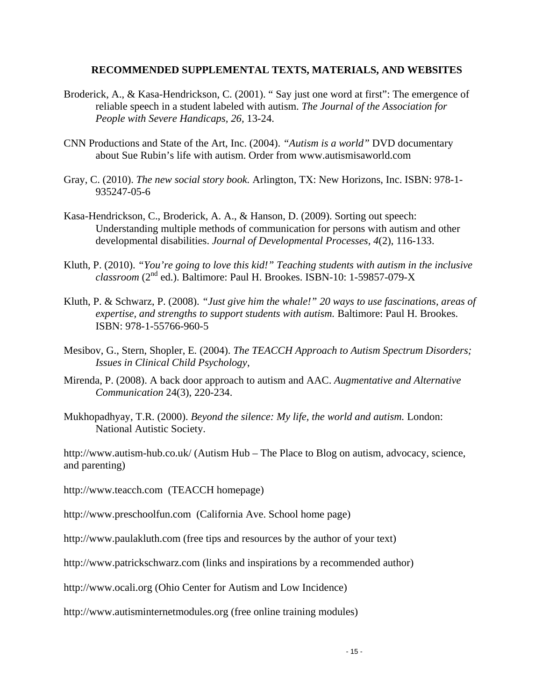#### **RECOMMENDED SUPPLEMENTAL TEXTS, MATERIALS, AND WEBSITES**

- Broderick, A., & Kasa-Hendrickson, C. (2001). " Say just one word at first": The emergence of reliable speech in a student labeled with autism. *The Journal of the Association for People with Severe Handicaps, 26,* 13-24.
- CNN Productions and State of the Art, Inc. (2004). *"Autism is a world"* DVD documentary about Sue Rubin's life with autism. Order from www.autismisaworld.com
- Gray, C. (2010). *The new social story book.* Arlington, TX: New Horizons, Inc. ISBN: 978-1- 935247-05-6
- Kasa-Hendrickson, C., Broderick, A. A., & Hanson, D. (2009). Sorting out speech: Understanding multiple methods of communication for persons with autism and other developmental disabilities. *Journal of Developmental Processes, 4*(2), 116-133.
- Kluth, P. (2010). *"You're going to love this kid!" Teaching students with autism in the inclusive classroom* (2nd ed.). Baltimore: Paul H. Brookes. ISBN-10: 1-59857-079-X
- Kluth, P. & Schwarz, P. (2008). *"Just give him the whale!" 20 ways to use fascinations, areas of expertise, and strengths to support students with autism.* Baltimore: Paul H. Brookes. ISBN: 978-1-55766-960-5
- Mesibov, G., Stern, Shopler, E*.* (2004). *The TEACCH Approach to Autism Spectrum Disorders; Issues in Clinical Child Psychology*,
- Mirenda, P. (2008). A back door approach to autism and AAC. *Augmentative and Alternative Communication* 24(3), 220-234.
- Mukhopadhyay, T.R. (2000). *Beyond the silence: My life, the world and autism.* London: National Autistic Society.

http://www.autism-hub.co.uk/ (Autism Hub – The Place to Blog on autism, advocacy, science, and parenting)

http://www.teacch.com (TEACCH homepage)

http://www.preschoolfun.com (California Ave. School home page)

http://www.paulakluth.com (free tips and resources by the author of your text)

http://www.patrickschwarz.com (links and inspirations by a recommended author)

http://www.ocali.org (Ohio Center for Autism and Low Incidence)

http://www.autisminternetmodules.org (free online training modules)